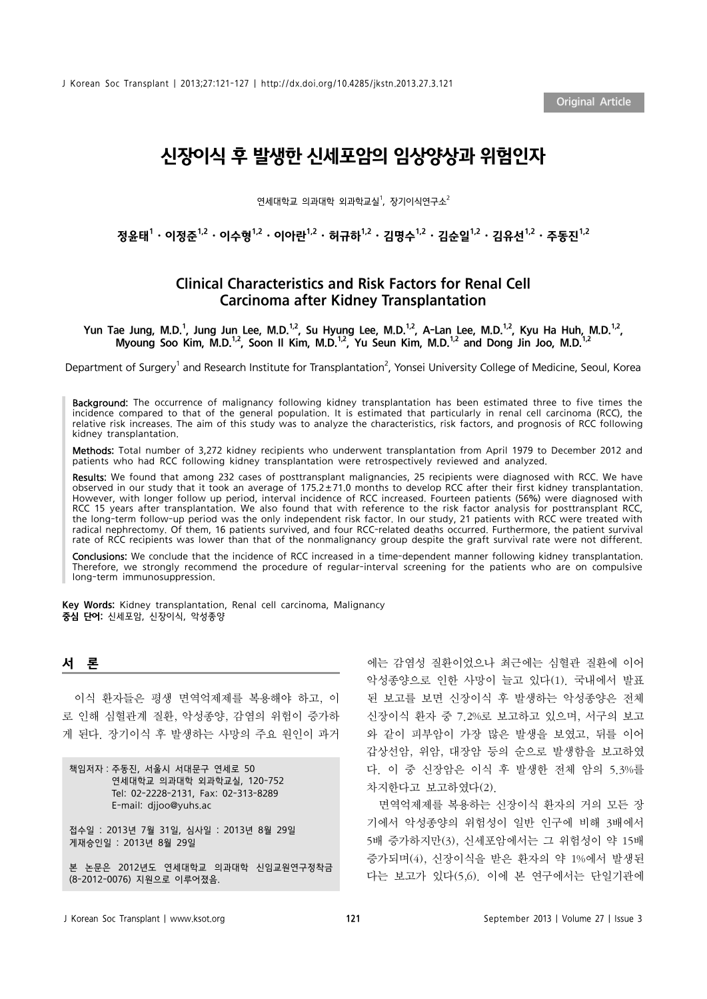# 신장이식 후 발생한 신세포암의 임상양상과 위험인자

연세대학교 의과대학 외과학교실<sup>1</sup>, 장기이식연구소<sup>2</sup>

정윤태 $^1\cdot$  이정준 $^{1,2}\cdot$  이수형 $^{1,2}\cdot$  이아란 $^{1,2}\cdot$  허규하 $^{1,2}\cdot$  김명수 $^{1,2}\cdot$  김유 $2^{1,2}\cdot$  주동진 $^{1,2}$ 

## Clinical Characteristics and Risk Factors for Renal Cell Carcinoma after Kidney Transplantation

Yun Tae Jung, M.D.<sup>1</sup>, Jung Jun Lee, M.D.<sup>1,2</sup>, Su Hyung Lee, M.D.<sup>1,2</sup>, A-Lan Lee, M.D.<sup>1,2</sup>, Kyu Ha Huh, M.D.<sup>1,2</sup>, Myoung Soo Kim, M.D.<sup>1,2</sup>, Soon II Kim, M.D.<sup>1,2</sup>, Yu Seun Kim, M.D.<sup>1,2</sup> and Dong Jin Joo, M.D.<sup>1,2</sup>

Department of Surgery<sup>1</sup> and Research Institute for Transplantation<sup>2</sup>, Yonsei University College of Medicine, Seoul, Korea

Background: The occurrence of malignancy following kidney transplantation has been estimated three to five times the incidence compared to that of the general population. It is estimated that particularly in renal cell carcinoma (RCC), the relative risk increases. The aim of this study was to analyze the characteristics, risk factors, and prognosis of RCC following kidney transplantation.

Methods: Total number of 3,272 kidney recipients who underwent transplantation from April 1979 to December 2012 and patients who had RCC following kidney transplantation were retrospectively reviewed and analyzed.

Results: We found that among 232 cases of posttransplant malignancies, 25 recipients were diagnosed with RCC. We have observed in our study that it took an average of 175.2±71.0 months to develop RCC after their first kidney transplantation. However, with longer follow up period, interval incidence of RCC increased. Fourteen patients (56%) were diagnosed with RCC 15 years after transplantation. We also found that with reference to the risk factor analysis for posttransplant RCC, the long-term follow-up period was the only independent risk factor. In our study, 21 patients with RCC were treated with radical nephrectomy. Of them, 16 patients survived, and four RCC-related deaths occurred. Furthermore, the patient survival rate of RCC recipients was lower than that of the nonmalignancy group despite the graft survival rate were not different.

Conclusions: We conclude that the incidence of RCC increased in a time-dependent manner following kidney transplantation. Therefore, we strongly recommend the procedure of regular-interval screening for the patients who are on compulsive long-term immunosuppression.

Key Words: Kidney transplantation, Renal cell carcinoma, Malignancy 중심 단어: 신세포암, 신장이식, 악성종양

#### 서 론

이식 환자들은 평생 면역억제제를 복용해야 하고, 이 로 인해 심혈관계 질환, 악성종양, 감염의 위험이 증가하 게 된다. 장기이식 후 발생하는 사망의 주요 원인이 과거

| 책임저자 : 주동진, 서울시 서대문구 연세로 50<br>연세대학교 의과대학 외과학교실, 120-752<br>Tel: 02-2228-2131, Fax: 02-313-8289<br>E-mail: dijoo@yuhs.ac |  |  |  |
|--------------------------------------------------------------------------------------------------------------------------|--|--|--|
| 접수일 : 2013년 7월 31일, 심사일 : 2013년 8월 29일<br>게재승인일 : 2013년 8월 29일                                                           |  |  |  |

본 논문은 2012년도 연세대학교 의과대학 신임교원연구정착금 (8-2012-0076) 지원으로 이루어졌음.

에는 감염성 질환이었으나 최근에는 심혈관 질환에 이어 악성종양으로 인한 사망이 늘고 있다(1). 국내에서 발표 된 보고를 보면 신장이식 후 발생하는 악성종양은 전체 신장이식 환자 중 7.2%로 보고하고 있으며, 서구의 보고 와 같이 피부암이 가장 많은 발생을 보였고, 뒤를 이어 갑상선암, 위암, 대장암 등의 순으로 발생함을 보고하였 다. 이 중 신장암은 이식 후 발생한 전체 암의 5.3%를 차지한다고 보고하였다(2).

면역억제제를 복용하는 신장이식 환자의 거의 모든 장 기에서 악성종양의 위험성이 일반 인구에 비해 3배에서 5배 증가하지만(3), 신세포암에서는 그 위험성이 약 15배 증가되며(4), 신장이식을 받은 환자의 약 1%에서 발생된 다는 보고가 있다(5,6). 이에 본 연구에서는 단일기관에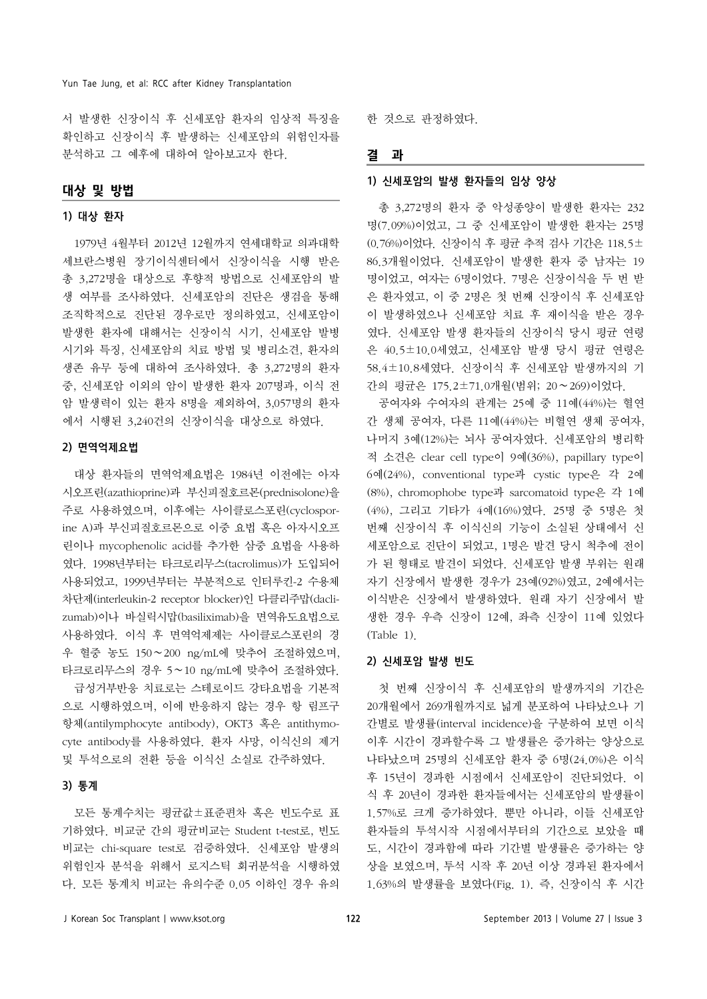서 발생한 신장이식 후 신세포암 환자의 임상적 특징을 확인하고 신장이식 후 발생하는 신세포암의 위험인자를 분석하고 그 예후에 대하여 알아보고자 한다.

## 대상 및 방법

#### 1) 대상 환자

1979년 4월부터 2012년 12월까지 연세대학교 의과대학 세브란스병원 장기이식센터에서 신장이식을 시행 받은 총 3,272명을 대상으로 후향적 방법으로 신세포암의 발 생 여부를 조사하였다. 신세포암의 진단은 생검을 통해 조직학적으로 진단된 경우로만 정의하였고, 신세포암이 발생한 환자에 대해서는 신장이식 시기, 신세포암 발병 시기와 특징, 신세포암의 치료 방법 및 병리소견, 환자의 생존 유무 등에 대하여 조사하였다. 총 3,272명의 환자 중, 신세포암 이외의 암이 발생한 환자 207명과, 이식 전 암 발생력이 있는 환자 8명을 제외하여, 3,057명의 환자 에서 시행된 3,240건의 신장이식을 대상으로 하였다.

#### 2) 면역억제요법

대상 환자들의 면역억제요법은 1984년 이전에는 아자 시오프린(azathioprine)과 부신피질호르몬(prednisolone)을 주로 사용하였으며, 이후에는 사이클로스포린(cyclosporine A)과 부신피질호르몬으로 이중 요법 혹은 아자시오프 린이나 mycophenolic acid를 추가한 삼중 요법을 사용하 였다. 1998년부터는 타크로리무스(tacrolimus)가 도입되어 사용되었고, 1999년부터는 부분적으로 인터루킨-2 수용체 차단제(interleukin-2 receptor blocker)인 다클리주맙(daclizumab)이나 바실릭시맙(basiliximab)을 면역유도요법으로 사용하였다. 이식 후 면역억제제는 사이클로스포린의 경 우 혈중 농도 150∼200 ng/mL에 맞추어 조절하였으며, 타크로리무스의 경우 5∼10 ng/mL에 맞추어 조절하였다.

급성거부반응 치료로는 스테로이드 강타요법을 기본적 으로 시행하였으며, 이에 반응하지 않는 경우 항 림프구 항체(antilymphocyte antibody), OKT3 혹은 antithymocyte antibody를 사용하였다. 환자 사망, 이식신의 제거 및 투석으로의 전환 등을 이식신 소실로 간주하였다.

#### 3) 통계

모든 통계수치는 평균값±표준편차 혹은 빈도수로 표 기하였다. 비교군 간의 평균비교는 Student t-test로, 빈도 비교는 chi-square test로 검증하였다. 신세포암 발생의 위험인자 분석을 위해서 로지스틱 회귀분석을 시행하였 다. 모든 통계치 비교는 유의수준 0.05 이하인 경우 유의

한 것으로 판정하였다.

### 결 과

#### 1) 신세포암의 발생 환자들의 임상 양상

총 3,272명의 환자 중 악성종양이 발생한 환자는 232 명(7.09%)이었고, 그 중 신세포암이 발생한 환자는 25명 (0.76%)이었다. 신장이식 후 평균 추적 검사 기간은 118.5± 86.3개월이었다. 신세포암이 발생한 환자 중 남자는 19 명이었고, 여자는 6명이었다. 7명은 신장이식을 두 번 받 은 환자였고, 이 중 2명은 첫 번째 신장이식 후 신세포암 이 발생하였으나 신세포암 치료 후 재이식을 받은 경우 였다. 신세포암 발생 환자들의 신장이식 당시 평균 연령 은 40.5±10.0세였고, 신세포암 발생 당시 평균 연령은 58.4±10.8세였다. 신장이식 후 신세포암 발생까지의 기 간의 평균은 175.2±71.0개월(범위; 20∼269)이었다.

공여자와 수여자의 관계는 25예 중 11예(44%)는 혈연 간 생체 공여자, 다른 11예(44%)는 비혈연 생체 공여자, 나머지 3예(12%)는 뇌사 공여자였다. 신세포암의 병리학 적 소견은 clear cell type이 9예(36%), papillary type이 6예(24%), conventional type과 cystic type은 각 2예 (8%), chromophobe type과 sarcomatoid type은 각 1예 (4%), 그리고 기타가 4예(16%)였다. 25명 중 5명은 첫 번째 신장이식 후 이식신의 기능이 소실된 상태에서 신 세포암으로 진단이 되었고, 1명은 발견 당시 척추에 전이 가 된 형태로 발견이 되었다. 신세포암 발생 부위는 원래 자기 신장에서 발생한 경우가 23예(92%)였고, 2예에서는 이식받은 신장에서 발생하였다. 원래 자기 신장에서 발 생한 경우 우측 신장이 12예, 좌측 신장이 11예 있었다 (Table 1).

#### 2) 신세포암 발생 빈도

첫 번째 신장이식 후 신세포암의 발생까지의 기간은 20개월에서 269개월까지로 넓게 분포하여 나타났으나 기 간별로 발생률(interval incidence)을 구분하여 보면 이식 이후 시간이 경과할수록 그 발생률은 증가하는 양상으로 나타났으며 25명의 신세포암 환자 중 6명(24.0%)은 이식 후 15년이 경과한 시점에서 신세포암이 진단되었다. 이 식 후 20년이 경과한 환자들에서는 신세포암의 발생률이 1.57%로 크게 증가하였다. 뿐만 아니라, 이들 신세포암 환자들의 투석시작 시점에서부터의 기간으로 보았을 때 도, 시간이 경과함에 따라 기간별 발생률은 증가하는 양 상을 보였으며, 투석 시작 후 20년 이상 경과된 환자에서 1.63%의 발생률을 보였다(Fig. 1). 즉, 신장이식 후 시간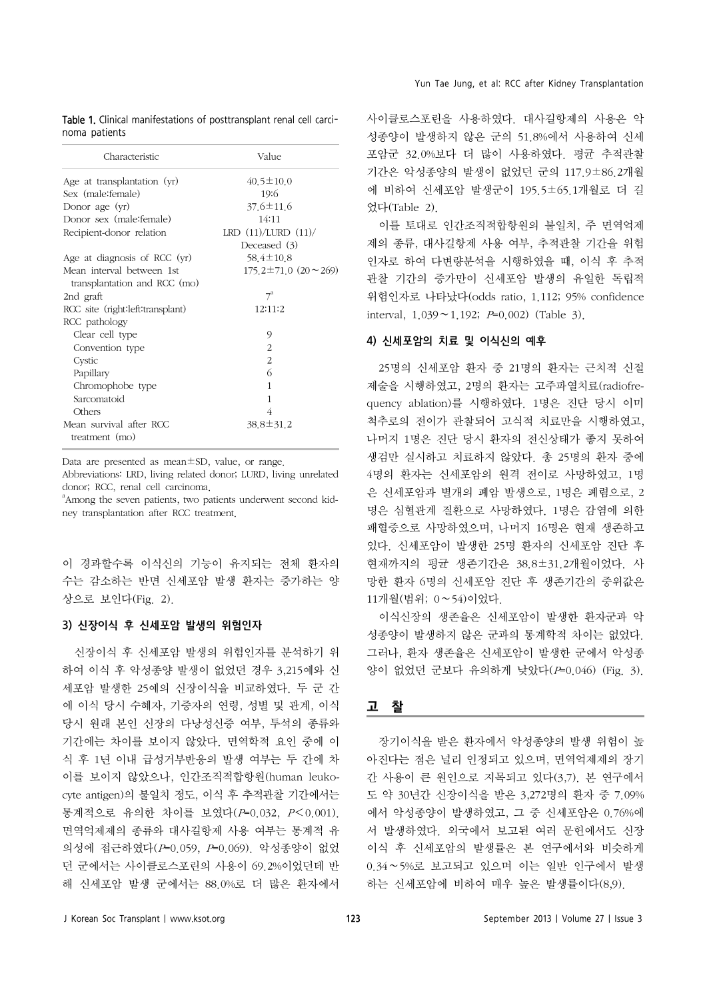| Characteristic                     | Value                            |  |  |  |
|------------------------------------|----------------------------------|--|--|--|
| Age at transplantation (yr)        | $40.5 \pm 10.0$                  |  |  |  |
| Sex (male: female)                 | 19:6                             |  |  |  |
| Donor age (yr)                     | $37.6 \pm 11.6$                  |  |  |  |
| Donor sex (male: female)           | 14:11                            |  |  |  |
| Recipient-donor relation           | LRD $(11)/LURD (11)/$            |  |  |  |
|                                    | Deceased (3)                     |  |  |  |
| Age at diagnosis of RCC (yr)       | $58.4 \pm 10.8$                  |  |  |  |
| Mean interval between 1st          | $175.2 \pm 71.0$ $(20 \sim 269)$ |  |  |  |
| transplantation and RCC (mo)       |                                  |  |  |  |
| 2nd graft                          | $7^{\mathrm{a}}$                 |  |  |  |
| RCC site (right: left: transplant) | 12:11:2                          |  |  |  |
| RCC pathology                      |                                  |  |  |  |
| Clear cell type                    | 9                                |  |  |  |
| Convention type                    | $\overline{2}$                   |  |  |  |
| Cystic                             | $\overline{2}$                   |  |  |  |
| Papillary                          | 6                                |  |  |  |
| Chromophobe type                   | 1                                |  |  |  |
| Sarcomatoid                        | 1                                |  |  |  |
| Others                             | 4                                |  |  |  |
| Mean survival after RCC            | $38.8 \pm 31.2$                  |  |  |  |
| treatment (mo)                     |                                  |  |  |  |

Table 1. Clinical manifestations of posttransplant renal cell carcinoma patients

Data are presented as mean±SD, value, or range.

Abbreviations: LRD, living related donor; LURD, living unrelated donor; RCC, renal cell carcinoma.

<sup>a</sup> Among the seven patients, two patients underwent second kidney transplantation after RCC treatment.

이 경과할수록 이식신의 기능이 유지되는 전체 환자의 수는 감소하는 반면 신세포암 발생 환자는 증가하는 양 상으로 보인다(Fig. 2).

#### 3) 신장이식 후 신세포암 발생의 위험인자

신장이식 후 신세포암 발생의 위험인자를 분석하기 위 하여 이식 후 악성종양 발생이 없었던 경우 3,215예와 신 세포암 발생한 25예의 신장이식을 비교하였다. 두 군 간 에 이식 당시 수혜자, 기증자의 연령, 성별 및 관계, 이식 당시 원래 본인 신장의 다낭성신증 여부, 투석의 종류와 기간에는 차이를 보이지 않았다. 면역학적 요인 중에 이 식 후 1년 이내 급성거부반응의 발생 여부는 두 간에 차 이를 보이지 않았으나, 인간조직적합항원(human leukocyte antigen)의 불일치 정도, 이식 후 추적관찰 기간에서는 통계적으로 유의한 차이를 보였다(P=0.032, P<0.001). 면역억제제의 종류와 대사길항제 사용 여부는 통계적 유 의성에 접근하였다(P=0.059, P=0.069). 악성종양이 없었 던 군에서는 사이클로스포린의 사용이 69.2%이었던데 반 해 신세포암 발생 군에서는 88.0%로 더 많은 환자에서

사이클로스포린을 사용하였다. 대사길항제의 사용은 악 성종양이 발생하지 않은 군의 51.8%에서 사용하여 신세 포암군 32.0%보다 더 많이 사용하였다. 평균 추적관찰 기간은 악성종양의 발생이 없었던 군의 117.9±86.2개월 에 비하여 신세포암 발생군이 195.5±65.1개월로 더 길 었다(Table 2).

이를 토대로 인간조직적합항원의 불일치, 주 면역억제 제의 종류, 대사길항제 사용 여부, 추적관찰 기간을 위험 인자로 하여 다변량분석을 시행하였을 때, 이식 후 추적 관찰 기간의 증가만이 신세포암 발생의 유일한 독립적 위험인자로 나타났다(odds ratio, 1.112; 95% confidence interval, 1.039∼1.192; P=0.002) (Table 3).

### 4) 신세포암의 치료 및 이식신의 예후

25명의 신세포암 환자 중 21명의 환자는 근치적 신절 제술을 시행하였고, 2명의 환자는 고주파열치료(radiofrequency ablation)를 시행하였다. 1명은 진단 당시 이미 척추로의 전이가 관찰되어 고식적 치료만을 시행하였고, 나머지 1명은 진단 당시 환자의 전신상태가 좋지 못하여 생검만 실시하고 치료하지 않았다. 총 25명의 환자 중에 4명의 환자는 신세포암의 원격 전이로 사망하였고, 1명 은 신세포암과 별개의 폐암 발생으로, 1명은 폐렴으로, 2 명은 심혈관계 질환으로 사망하였다. 1명은 감염에 의한 패혈증으로 사망하였으며, 나머지 16명은 현재 생존하고 있다. 신세포암이 발생한 25명 환자의 신세포암 진단 후 현재까지의 평균 생존기간은 38.8±31.2개월이었다. 사 망한 환자 6명의 신세포암 진단 후 생존기간의 중위값은 11개월(범위; 0∼54)이었다.

이식신장의 생존율은 신세포암이 발생한 환자군과 악 성종양이 발생하지 않은 군과의 통계학적 차이는 없었다. 그러나, 환자 생존율은 신세포암이 발생한 군에서 악성종 양이 없었던 군보다 유의하게 낮았다(P=0.046) (Fig. 3).

## 고 착

장기이식을 받은 환자에서 악성종양의 발생 위험이 높 아진다는 점은 널리 인정되고 있으며, 면역억제제의 장기 간 사용이 큰 원인으로 지목되고 있다(3,7). 본 연구에서 도 약 30년간 신장이식을 받은 3,272명의 환자 중 7.09% 에서 악성종양이 발생하였고, 그 중 신세포암은 0.76%에 서 발생하였다. 외국에서 보고된 여러 문헌에서도 신장 이식 후 신세포암의 발생률은 본 연구에서와 비슷하게 0.34∼5%로 보고되고 있으며 이는 일반 인구에서 발생 하는 신세포암에 비하여 매우 높은 발생률이다(8,9).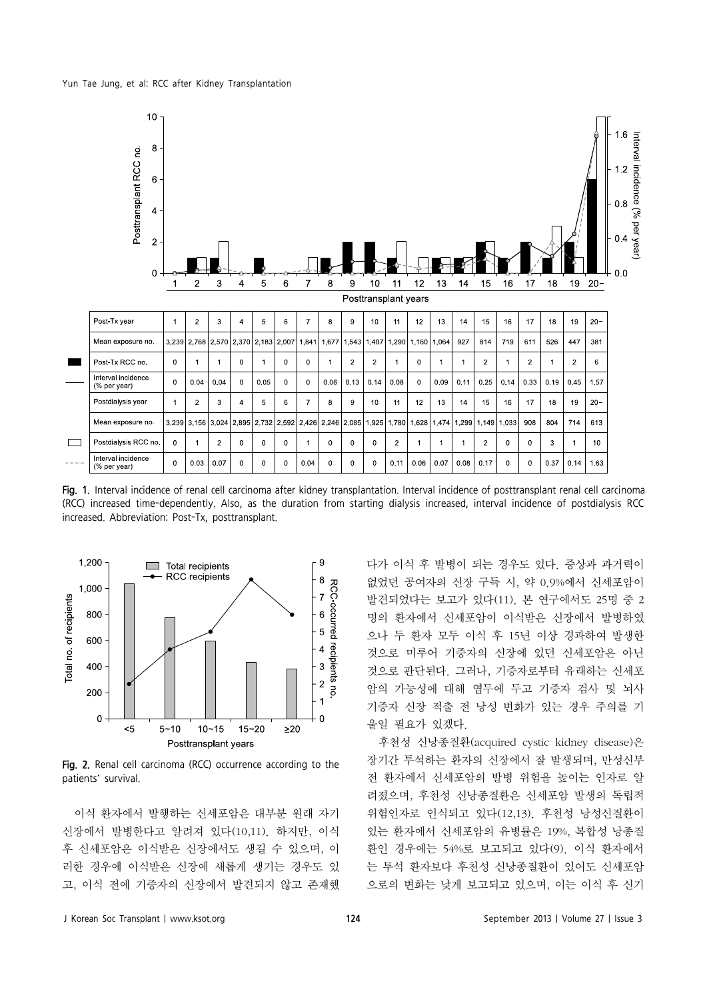Yun Tae Jung, et al: RCC after Kidney Transplantation



Fig. 1. Interval incidence of renal cell carcinoma after kidney transplantation. Interval incidence of posttransplant renal cell carcinoma (RCC) increased time-dependently. Also, as the duration from starting dialysis increased, interval incidence of postdialysis RCC increased. Abbreviation: Post-Tx, posttransplant.



Fig. 2. Renal cell carcinoma (RCC) occurrence according to the patients' survival.

이식 환자에서 발행하는 신세포암은 대부분 원래 자기 신장에서 발병한다고 알려져 있다(10,11). 하지만, 이식 후 신세포암은 이식받은 신장에서도 생길 수 있으며, 이 러한 경우에 이식받은 신장에 새롭게 생기는 경우도 있 고, 이식 전에 기증자의 신장에서 발견되지 않고 존재했 다가 이식 후 발병이 되는 경우도 있다. 증상과 과거력이 없었던 공여자의 신장 구득 시, 약 0.9%에서 신세포암이 발견되었다는 보고가 있다(11). 본 연구에서도 25명 중 2 명의 환자에서 신세포암이 이식받은 신장에서 발병하였 으나 두 환자 모두 이식 후 15년 이상 경과하여 발생한 것으로 미루어 기증자의 신장에 있던 신세포암은 아닌 것으로 판단된다. 그러나, 기증자로부터 유래하는 신세포 암의 가능성에 대해 염두에 두고 기증자 검사 및 뇌사 기증자 신장 적출 전 낭성 변화가 있는 경우 주의를 기 울일 필요가 있겠다.

후천성 신낭종질환(acquired cystic kidney disease)은 장기간 투석하는 환자의 신장에서 잘 발생되며, 만성신부 전 환자에서 신세포암의 발병 위험을 높이는 인자로 알 려졌으며, 후천성 신낭종질환은 신세포암 발생의 독립적 위험인자로 인식되고 있다(12,13). 후천성 낭성신질환이 있는 환자에서 신세포암의 유병률은 19%, 복합성 낭종질 환인 경우에는 54%로 보고되고 있다(9). 이식 환자에서 는 투석 환자보다 후천성 신낭종질환이 있어도 신세포암 으로의 변화는 낮게 보고되고 있으며, 이는 이식 후 신기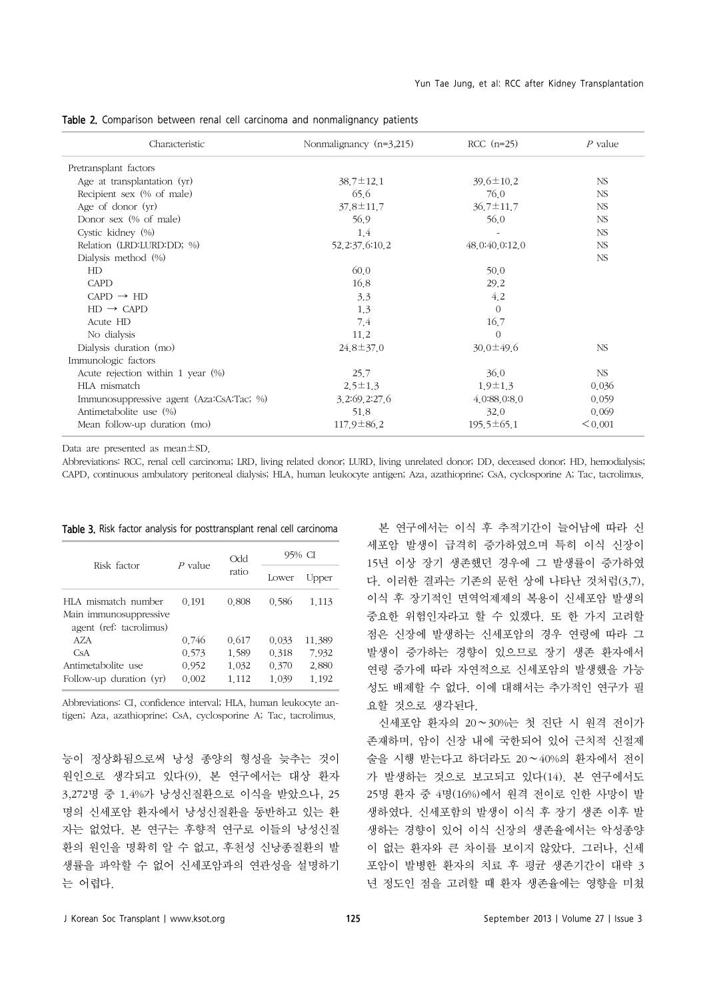|  |  |  |  | Table 2. Comparison between renal cell carcinoma and nonmalignancy patients |  |
|--|--|--|--|-----------------------------------------------------------------------------|--|
|  |  |  |  |                                                                             |  |

| Characteristic                           | Nonmalignancy $(n=3,215)$ | $RCC$ (n=25)     | $P$ value |
|------------------------------------------|---------------------------|------------------|-----------|
| Pretransplant factors                    |                           |                  |           |
| Age at transplantation (yr)              | $38.7 \pm 12.1$           | $39.6 \pm 10.2$  | NS.       |
| Recipient sex (% of male)                | 65.6                      | 76.0             | NS.       |
| Age of donor $(yr)$                      | $37.8 \pm 11.7$           | 36.7±11.7        | NS        |
| Donor sex (% of male)                    | 56.9                      | 56.0             | NS        |
| Cystic kidney (%)                        | 1.4                       |                  | NS        |
| Relation (LRD:LURD:DD; %)                | 52, 2:37, 6:10, 2         | 48.0:40.0:12.0   | NS        |
| Dialysis method $(\%)$                   |                           |                  | NS        |
| HD                                       | 60.0                      | 50.0             |           |
| <b>CAPD</b>                              | 16.8                      | 29.2             |           |
| $CAPD \rightarrow HD$                    | 3.3                       | 4.2              |           |
| $HD \rightarrow CAPD$                    | 1.3                       | $\Omega$         |           |
| Acute HD                                 | 7.4                       | 16.7             |           |
| No dialysis                              | 11.2                      | $\Omega$         |           |
| Dialysis duration (mo)                   | $24.8 \pm 37.0$           | $30.0 \pm 49.6$  | NS        |
| Immunologic factors                      |                           |                  |           |
| Acute rejection within 1 year $(\% )$    | 25.7                      | 36.0             | NS        |
| HLA mismatch                             | $2.5 \pm 1.3$             | $1.9 \pm 1.3$    | 0.036     |
| Immunosuppressive agent (Aza:CsA:Tac; %) | 3.2:69.2:27.6             | 4.0:88.0:8.0     | 0.059     |
| Antimetabolite use (%)                   | 51.8                      | 32.0             | 0.069     |
| Mean follow-up duration (mo)             | $117.9 \pm 86.2$          | $195.5 \pm 65.1$ | < 0.001   |

Data are presented as mean±SD.

Abbreviations: RCC, renal cell carcinoma; LRD, living related donor; LURD, living unrelated donor; DD, deceased donor; HD, hemodialysis; CAPD, continuous ambulatory peritoneal dialysis; HLA, human leukocyte antigen; Aza, azathioprine; CsA, cyclosporine A; Tac, tacrolimus.

| Risk factor                                                              | $P$ value      | <b>Odd</b>     | 95% CI         |                 |  |
|--------------------------------------------------------------------------|----------------|----------------|----------------|-----------------|--|
|                                                                          |                | ratio          | Lower          | Upper           |  |
| HLA mismatch number<br>Main immunosuppressive<br>agent (ref: tacrolimus) | 0.191          | 0.808          | 0.586          | 1 1 1 3         |  |
| AZA<br>CsA                                                               | 0.746<br>0.573 | 0.617<br>1.589 | 0.033<br>0.318 | 11.389<br>7 932 |  |
| Antimetabolite use<br>Follow-up duration $(yr)$                          | 0.952<br>0.002 | 1.032<br>1.112 | 0.370<br>1.039 | 2.880<br>1.192  |  |

Table 3. Risk factor analysis for posttransplant renal cell carcinoma

Abbreviations: CI, confidence interval; HLA, human leukocyte antigen; Aza, azathioprine; CsA, cyclosporine A; Tac, tacrolimus.

능이 정상화됨으로써 낭성 종양의 형성을 늦추는 것이 원인으로 생각되고 있다(9). 본 연구에서는 대상 환자 3,272명 중 1.4%가 낭성신질환으로 이식을 받았으나, 25 명의 신세포암 환자에서 낭성신질환을 동반하고 있는 환 자는 없었다. 본 연구는 후향적 연구로 이들의 낭성신질 환의 원인을 명확히 알 수 없고, 후천성 신낭종질환의 발 생률을 파악할 수 없어 신세포암과의 연관성을 설명하기 는 어렵다.

본 연구에서는 이식 후 추적기간이 늘어남에 따라 신 세포암 발생이 급격히 증가하였으며 특히 이식 신장이 15년 이상 장기 생존했던 경우에 그 발생률이 증가하였 다. 이러한 결과는 기존의 문헌 상에 나타난 것처럼(3,7), 이식 후 장기적인 면역억제제의 복용이 신세포암 발생의 중요한 위험인자라고 할 수 있겠다. 또 한 가지 고려할 점은 신장에 발생하는 신세포암의 경우 연령에 따라 그 발생이 증가하는 경향이 있으므로 장기 생존 환자에서 연령 증가에 따라 자연적으로 신세포암의 발생했을 가능 성도 배제할 수 없다. 이에 대해서는 추가적인 연구가 필 요할 것으로 생각된다.

신세포암 환자의 20∼30%는 첫 진단 시 원격 전이가 존재하며, 암이 신장 내에 국한되어 있어 근치적 신절제 술을 시행 받는다고 하더라도 20∼40%의 환자에서 전이 가 발생하는 것으로 보고되고 있다(14). 본 연구에서도 25명 환자 중 4명(16%)에서 원격 전이로 인한 사망이 발 생하였다. 신세포함의 발생이 이식 후 장기 생존 이후 발 생하는 경향이 있어 이식 신장의 생존율에서는 악성종양 이 없는 환자와 큰 차이를 보이지 않았다. 그러나, 신세 포암이 발병한 환자의 치료 후 평균 생존기간이 대략 3 년 정도인 점을 고려할 때 환자 생존율에는 영향을 미쳤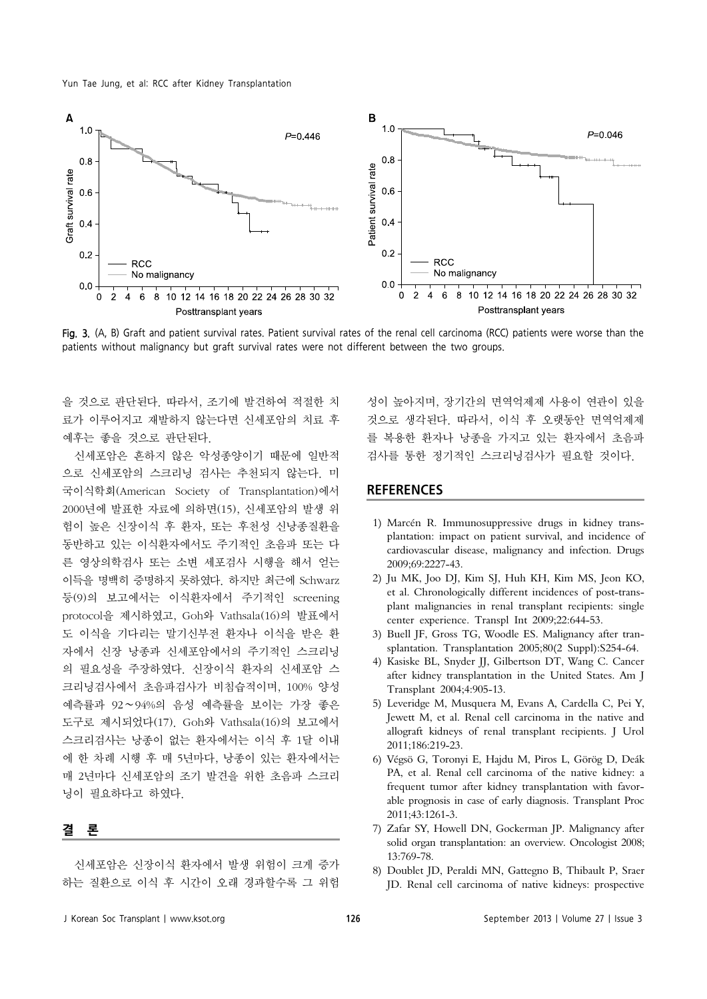

Fig. 3. (A, B) Graft and patient survival rates. Patient survival rates of the renal cell carcinoma (RCC) patients were worse than the patients without malignancy but graft survival rates were not different between the two groups.

을 것으로 판단된다. 따라서, 조기에 발견하여 적절한 치 료가 이루어지고 재발하지 않는다면 신세포암의 치료 후 예후는 좋을 것으로 판단된다.

신세포암은 흔하지 않은 악성종양이기 때문에 일반적 으로 신세포암의 스크리닝 검사는 추천되지 않는다. 미 국이식학회(American Society of Transplantation)에서 2000년에 발표한 자료에 의하면(15), 신세포암의 발생 위 험이 높은 신장이식 후 환자, 또는 후천성 신낭종질환을 동반하고 있는 이식환자에서도 주기적인 초음파 또는 다 른 영상의학검사 또는 소변 세포검사 시행을 해서 얻는 이득을 명백히 증명하지 못하였다. 하지만 최근에 Schwarz 등(9)의 보고에서는 이식환자에서 주기적인 screening protocol을 제시하였고, Goh와 Vathsala(16)의 발표에서 도 이식을 기다리는 말기신부전 환자나 이식을 받은 환 자에서 신장 낭종과 신세포암에서의 주기적인 스크리닝 의 필요성을 주장하였다. 신장이식 환자의 신세포암 스 크리닝검사에서 초음파검사가 비침습적이며, 100% 양성 예측률과 92∼94%의 음성 예측률을 보이는 가장 좋은 도구로 제시되었다(17). Goh와 Vathsala(16)의 보고에서 스크리검사는 낭종이 없는 환자에서는 이식 후 1달 이내 에 한 차례 시행 후 매 5년마다, 낭종이 있는 환자에서는 매 2년마다 신세포암의 조기 발견을 위한 초음파 스크리 닝이 필요하다고 하였다.

## 결 론

신세포암은 신장이식 환자에서 발생 위험이 크게 증가 하는 질환으로 이식 후 시간이 오래 경과할수록 그 위험 성이 높아지며, 장기간의 면역억제제 사용이 연관이 있을 것으로 생각된다. 따라서, 이식 후 오랫동안 면역억제제 를 복용한 환자나 낭종을 가지고 있는 환자에서 초음파 검사를 통한 정기적인 스크리닝검사가 필요할 것이다.

## **REFERENCES**

- 1) Marcén R. Immunosuppressive drugs in kidney transplantation: impact on patient survival, and incidence of cardiovascular disease, malignancy and infection. Drugs 2009;69:2227-43.
- 2) Ju MK, Joo DJ, Kim SJ, Huh KH, Kim MS, Jeon KO, et al. Chronologically different incidences of post-transplant malignancies in renal transplant recipients: single center experience. Transpl Int 2009;22:644-53.
- 3) Buell JF, Gross TG, Woodle ES. Malignancy after transplantation. Transplantation 2005;80(2 Suppl):S254-64.
- 4) Kasiske BL, Snyder JJ, Gilbertson DT, Wang C. Cancer after kidney transplantation in the United States. Am J Transplant 2004;4:905-13.
- 5) Leveridge M, Musquera M, Evans A, Cardella C, Pei Y, Jewett M, et al. Renal cell carcinoma in the native and allograft kidneys of renal transplant recipients. J Urol 2011;186:219-23.
- 6) Végsö G, Toronyi E, Hajdu M, Piros L, Görög D, Deák PA, et al. Renal cell carcinoma of the native kidney: a frequent tumor after kidney transplantation with favorable prognosis in case of early diagnosis. Transplant Proc 2011;43:1261-3.
- 7) Zafar SY, Howell DN, Gockerman JP. Malignancy after solid organ transplantation: an overview. Oncologist 2008; 13:769-78.
- 8) Doublet JD, Peraldi MN, Gattegno B, Thibault P, Sraer JD. Renal cell carcinoma of native kidneys: prospective